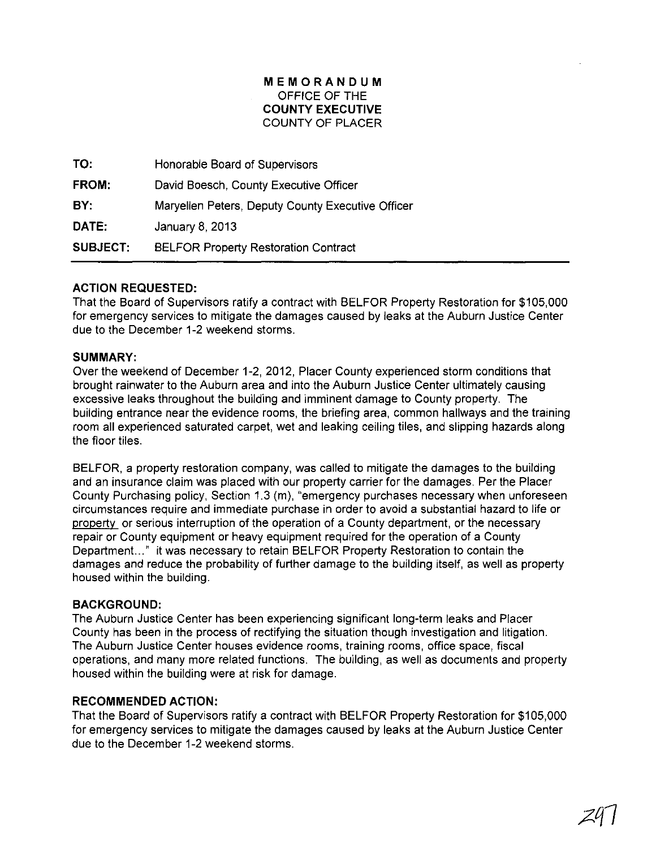## **MEMORANDUM**  OFFICE OF **THE COUNTY EXECUTIVE**  COUNTY OF PLACER

**TO: FROM: BY: DATE: SUBJECT:**  Honorable Board of Supervisors David Boesch, County Executive Officer Maryellen Peters, Deputy County Executive Officer January 8,2013 BELFOR Property Restoration Contract

# **ACTION REQUESTED:**

That the Board of Supervisors ratify a contract with BELFOR Property Restoration for \$105,000 for emergency services to mitigate the damages caused by leaks at the Auburn Justice Center due to the December 1-2 weekend storms.

## **SUMMARY:**

Over the weekend of December 1-2, 2012, Placer County experienced storm conditions that brought rainwater to the Auburn area and into the Auburn Justice Center ultimately causing excessive leaks throughout the building and imminent damage to County property. The building entrance near the evidence rooms, the briefing area, common hallways and the training room all experienced saturated carpet, wet and leaking ceiling tiles, and slipping hazards along the floor tiles.

BELFOR, a property restoration company, was called to mitigate the damages to the building and an insurance claim was placed with our property carrier for the damages. Per the Placer County Purchasing policy, Section 1.3 (m), "emergency purchases necessary when unforeseen circumstances require and immediate purchase in order to avoid a substantial hazard to life or property or serious interruption of the operation of a County department, or the necessary repair or County equipment or heavy equipment required for the operation of a County Department..." it was necessary to retain BELFOR Property Restoration to contain the damages and reduce the probability of further damage to the building itself, as well as property housed within the building.

## **BACKGROUND:**

The Auburn Justice Center has been experiencing significant long-term leaks and Placer County has been in the process of rectifying the situation though investigation and litigation. The Auburn Justice Center houses evidence rooms, training rooms, office space, fiscal operations, and many more related functions. The building, as well as documents and property housed within the building were at risk for damage.

## **RECOMMENDED ACTION:**

That the Board of Supervisors ratify a contract with BELFOR Property Restoration for \$105,000 for emergency services to mitigate the damages caused by leaks at the Auburn Justice Center due to the December 1-2 weekend storms.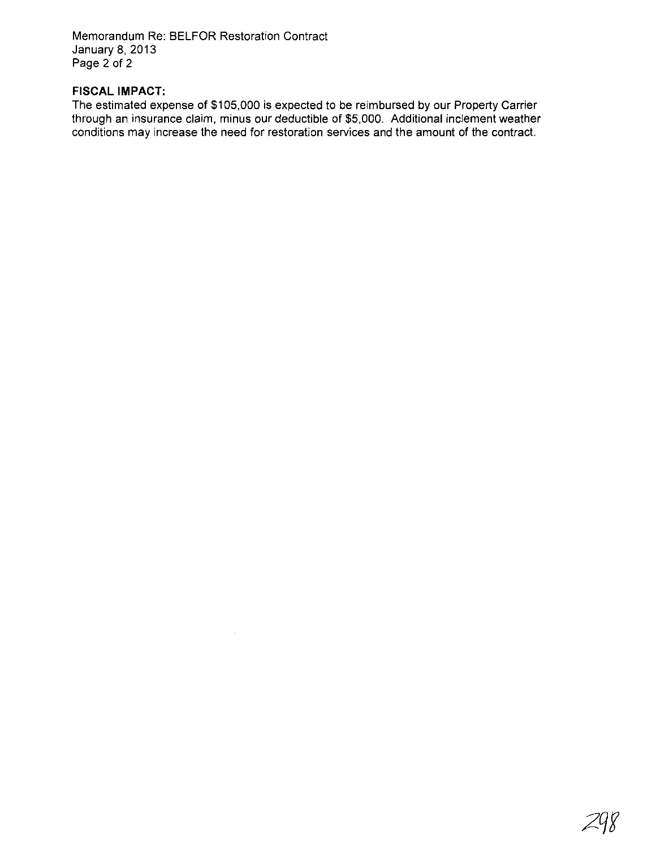Memorandum Re: BELFOR Restoration Contract January 8, 2013 Page 2 of 2

# **FISCAL IMPACT:**

The estimated expense of \$105,000 is expected to be reimbursed by our Property Carrier through an insurance claim, minus our deductible of \$5,000. Additional inclement weather conditions may increase the need for restoration services and the amount of the contract.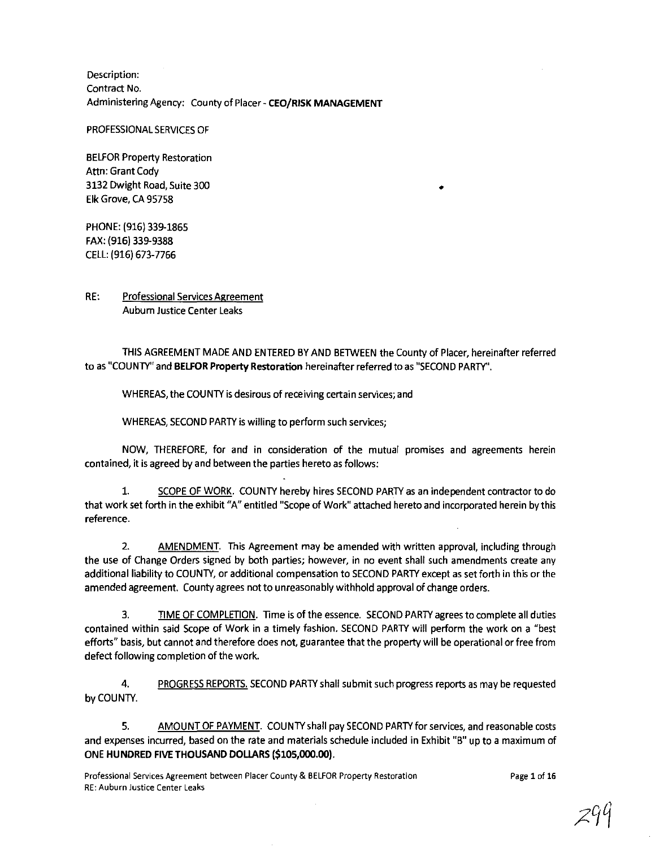Description: Contract No. Administering Agency: County of Placer - **CEO/RISK MANAGEMENT** 

PROFESSIONAL SERVICES OF

BELFOR Property Restoration Attn: Grant Cody 3132 Dwight Road, Suite 300 Elk Grove, CA 95758

PHONE: (916) 339-1865 FAX: (916) 339-9388 CELL: (916) 673-7766

RE: Professional Services Agreement Aubum Justice Center Leaks

THIS AGREEMENT MADE AND ENTERED BY AND BETWEEN the County of Placer, hereinafter referred to as "COUNTY" and **BElfOR Property Restoration** hereinafter referred to as "SECOND PARTY".

•

WHEREAS, the COUNTY is desirous of receiving certain services; and

WHEREAS, SECOND PARTY is willing to perform such services;

NOW, THEREFORE, for and in consideration of the mutual promises and agreements herein contained, it is agreed by and between the parties hereto as follows:

1. SCOPE OF WORK. COUNTY hereby hires SECOND PARTY as an independent contractor to do that work set forth in the exhibit "A" entitled "Scope of Work" attached hereto and incorporated herein by this reference.

2. AMENDMENT. This Agreement may be amended with written approval, including through the use of Change Orders signed by both parties; however, in no event shall such amendments create any additional liability to COUNTY, or additional compensation to SECOND PARTY except as set forth in this or the amended agreement. County agrees not to unreasonably withhold approval of change orders.

3. TIME OF COMPLETION. Time is of the essence. SECOND PARTY agrees to complete all duties contained within said Scope of Work in a timely fashion. SECOND PARTY will perform the work on a "best efforts" basis, but cannot and therefore does not, guarantee that the property will be operational or free from defect following completion of the work.

4. PROGRESS REPORTS. SECOND PARTY shall submit such progress reports as may be requested by COUNTY.

5. AMOUNT OF PAYMENT. COUNTY shall pay SECOND PARTY for services, and reasonable costs and expenses incurred, based on the rate and materials schedule included in Exhibit "8" up to a maximum of ONE **HUNDRED FIVE THOUSAND DOLlARS** (\$105,000.00).

**Professional Services Agreement between Placer County & BELFOR Property Restoration RE: Auburn Justice Center Leaks** 

Page 1 of 16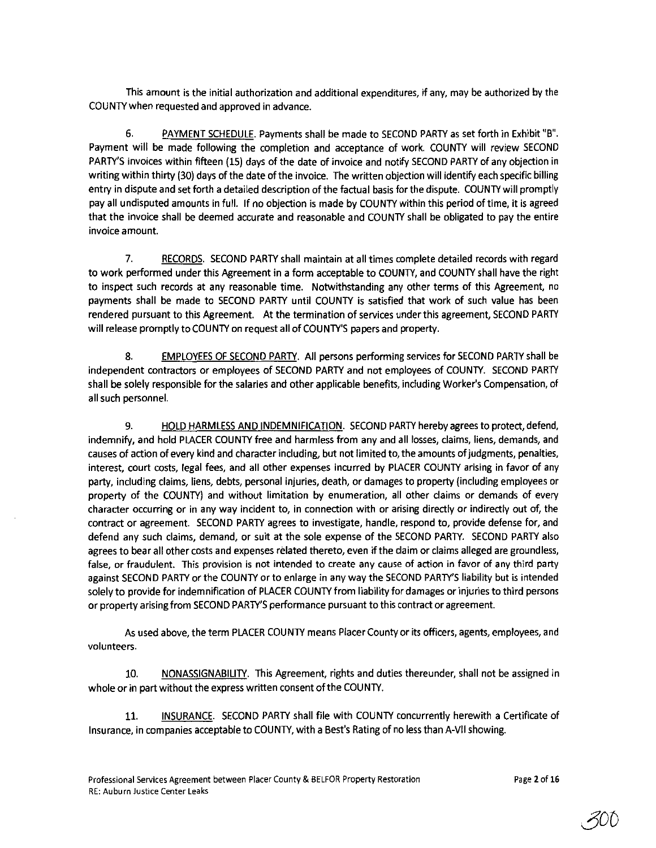This amount is the initial authorization and additional expenditures, if any, may be authorized by the COUNTY when requested and approved in advance.

6. PAYMENT SCHEDULE. Payments shall be made to SECOND PARTY as set forth in Exhibit "B". Payment will be made following the completion and acceptance of work. COUNTY will review SECOND PARTY'S invoices within fifteen (lS) days of the date of invoice and notify SECOND PARTY of any objection in writing within thirty (30) days of the date of the invoice. The written objection will identify each specific billing entry in dispute and set forth a detailed description of the factual basis for the dispute. COUNTY will promptly pay all undisputed amounts in full. If no objection is made by COUNTY within this period of time, it is agreed that the invoice shall be deemed accurate and reasonable and COUNTY shall be obligated to pay the entire **invoice amount.** 

7. RECORDS. SECOND PARTY shall maintain at all times complete detailed records with regard to work performed under this Agreement in a form acceptable to COUNTY, and COUNTY shall have the right to inspect such records at any reasonable time. Notwithstanding any other terms of this Agreement, no payments shall be made to SECOND PARTY until COUNTY is satisfied that work of such value has been rendered pursuant to this Agreement. At the termination of services under this agreement, SECOND PARTY will release promptly to COUNTY on request all of COUNTY'S papers and property.

8. EMPLOYEES OF SECOND PARTY. All persons performing services for SECOND PARTY shall be independent contractors or employees of SECOND PARTY and not employees of COUNTY. SECOND PARTY shall be solely responsible for the salaries and other applicable benefits, including Worker's Compensation, of all such personnel.

9. HOLD HARMLESS AND INDEMNIFICATION. SECOND PARTY hereby agrees to protect, defend, indemnify, and hold PLACER COUNTY free and harmless from any and all losses, claims, liens, demands, and causes of action of every kind and character including, but not limited to, the amounts of judgments, penalties, interest, court costs, legal fees, and all other expenses incurred by PLACER COUNTY arising in favor of any party, including claims, liens, debts, personal injuries, death, or damages to property (including employees or property of the COUNTY) and without limitation by enumeration, all other claims or demands of every character occurring or in any way incident to, in connection with or arising directly or indirectly out of, the contract or agreement. SECOND PARTY agrees to investigate, handle, respond to, provide defense for, and defend any such claims, demand, or suit at the sole expense of the SECOND PARTY. SECOND PARTY also agrees to bear all other costs and expenses related thereto, even if the claim or claims alleged are groundless, false, or fraudulent. This provision is not intended to create any cause of action in favor of any third party against SECOND PARTY or the COUNTY or to enlarge in any way the SECOND PARTY'S liability but is intended solely to provide for indemnification of PLACER COUNTY from liability for damages or injuries to third persons or property arising from SECOND PARTY'S performance pursuant to this contract or agreement.

As used above, the term PLACER COUNTY means Placer County or its officers, agents, employees, and volunteers.

10. NONASSIGNABILITY. This Agreement, rights and duties thereunder, shall not be assigned in whole or in part without the express written consent of the COUNTY.

11. INSURANCE. SECOND PARTY shall file with COUNTY concurrently herewith a Certificate of Insurance, in companies acceptable to COUNTY, with a Best's Rating of no less than A-VII showing.

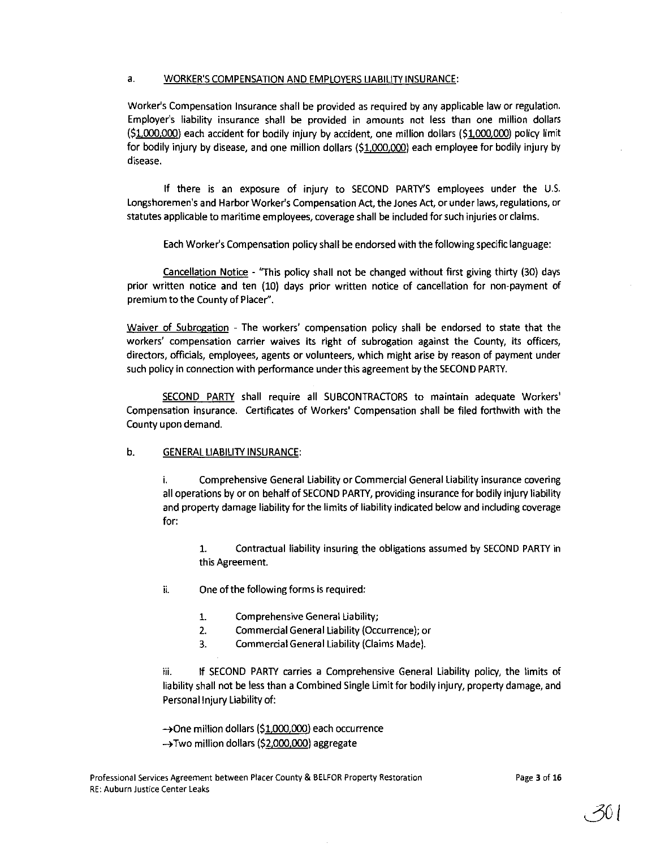#### a. WORKER'S COMPENSATION AND EMPLOYERS LIABILITY INSURANCE:

Worker's Compensation Insurance shall be provided as required by any applicable law or regulation. Employer's liability insurance shall be provided in amounts not less than one million dollars (\$1.000,000) each accident for bodily injury by accident, one million dollars (\$1.000,000) policy limit for bodily injury by disease, and one million dollars (\$1.000,000) each employee for bodily injury by disease,

If there is an exposure of injury to SECOND PARTY'S employees under the U.s, Longshoremen's and Harbor Worker's Compensation Act, the Jones Act, or under laws, regulations, or statutes applicable to maritime employees, coverage shall be included for such injuries or claims.

Each Worker's Compensation policy shall be endorsed with the following specific language:

Cancellation Notice - "This policy shall not be changed without first giving thirty (30) days prior written notice and ten (10) days prior written notice of cancellation for non-payment of premium to the County of Placer".

Waiver of Subrogation - The workers' compensation policy shall be endorsed to state that the workers' compensation carrier waives its right of subrogation against the County, its officers, directors, officials, employees, agents or volunteers, which might arise by reason of payment under such policy in connection with performance under this agreement by the SECOND PARTY.

SECOND PARTY shall require all SUBCONTRACTORS to maintain adequate Workers' Compensation insurance. Certificates of Workers' Compensation shall be filed forthwith with the County upon demand.

#### b. GENERAL LIABILITY INSURANCE:

i. Comprehensive General Liability or Commercial General Liability insurance covering all operations by or on behalf of SECOND PARTY, providing insurance for bodily injury liability and property damage liability for the limits of liability indicated below and including coverage for:

1. Contractual liability insuring the obligations assumed by SECOND PARTY in this Agreement.

- ii. One of the following forms is required:
	- 1. Comprehensive General Liability;
	- 2. Commercial General Liability (Occurrence); or
	- 3. Commercial General Liability (Claims Made).

iii. If SECOND PARTY carries a Comprehensive General Liability policy, the limits of liability shall not be less than a Combined Single Limit for bodily injury, property damage, and Personal Injury Liability of:

→One million dollars (\$1,000,000) each occurrence

 $\rightarrow$  Two million dollars (\$2,000,000) aggregate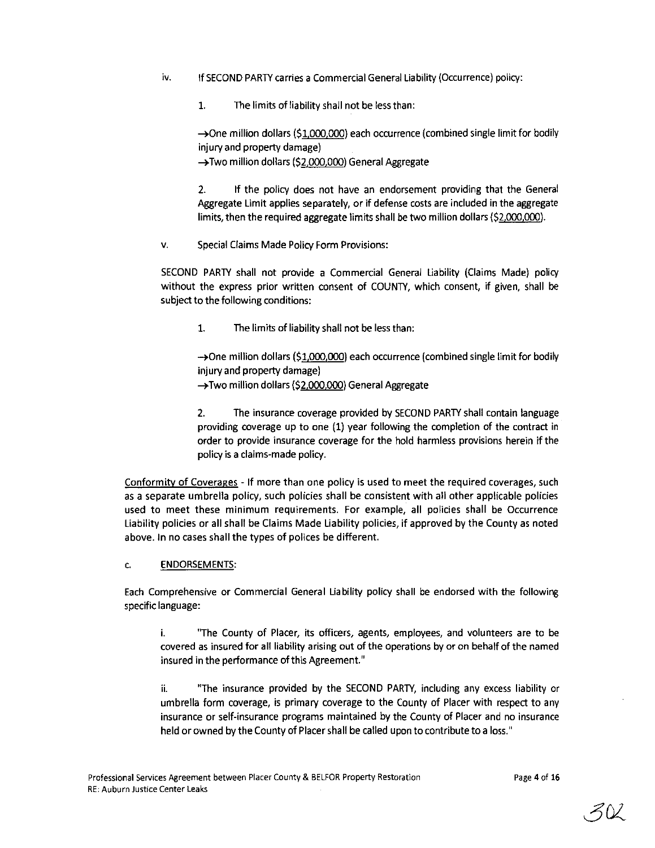- iv. If SECOND PARTY carries a Commercial General Liability (Occurrence) policy:
	- 1. The limits of liability shall not be less than:

 $\rightarrow$ One million dollars (\$1,000,000) each occurrence (combined single limit for bodily injury and property damage)

 $\rightarrow$  Two million dollars (\$2,000,000) General Aggregate

2. If the policy does not have an endorsement providing that the General Aggregate Limit applies separately, or if defense costs are included in the aggregate limits, then the required aggregate limits shall be two million dollars (\$2,000,000).

v. Special Claims Made Policy Form Provisions:

SECOND PAR1Y shall not provide a Commercial General Liability (Claims Made) policy without the express prior written consent of COUNTY, which consent, if given, shall be subject to the following conditions:

1. The limits of liability shall not be less than:

 $\rightarrow$ One million dollars (\$1,000,000) each occurrence (combined single limit for bodily injury and property damage) →Two million dollars (\$2,000,000) General Aggregate

2. The insurance coverage provided by SECOND PARTY shall contain language providing coverage up to one (1) year following the completion of the contract in order to provide insurance coverage for the hold harmless provisions herein if the policy is a claims-made policy.

Conformity of Coverages - If more than one policy is used to meet the required coverages, such as a separate umbrella policy, such policies shall be consistent with all other applicable policies used to meet these minimum requirements. For example, all policies shall be Occurrence Liability policies or all shall be Claims Made Liability policies, if approved by the County as noted above. In no cases shall the types of polices be different.

#### c. ENDORSEMENTS:

Each Comprehensive or Commercial General Liability policy shall be endorsed with the following specific language:

i. "The County of Placer, its officers, agents, employees, and volunteers are to be covered as insured for all liability arising out of the operations by or on behalf of the named insured in the performance of this Agreement."

ii. "The insurance provided by the SECOND PAR1Y, including any excess liability or umbrella form coverage, is primary coverage to the County of Placer with respect to any insurance or self-insurance programs maintained by the County of Placer and no insurance held or owned by the County of Placer shall be called upon to contribute to a loss."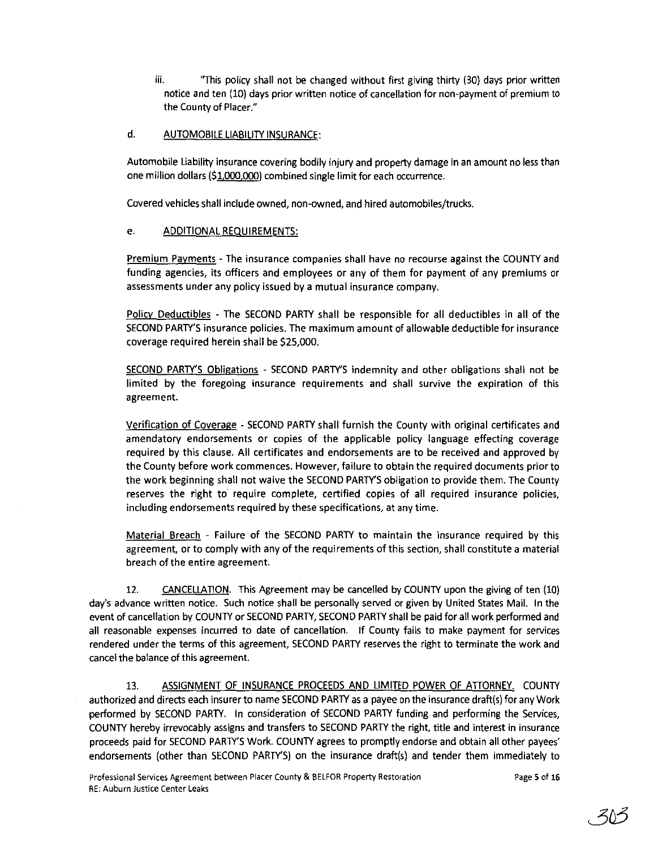iii. "This policy shall not be changed without first giving thirty (30) days prior written notice and ten (10) days prior written notice of cancellation for non-payment of premium to the County of Placer."

### d. AUTOMOBILE LIABILITY INSURANCE:

Automobile Liability insurance covering bodily injury and property damage in an amount no less than one million dollars (\$1.000.000) combined single limit for each occurrence.

Covered vehicles shall include owned, non-owned, and hired automobiles/trucks.

#### e. ADDITIONAL REQUIREMENTS:

Premium Payments - The insurance companies shall have no recourse against the COUNTY and funding agencies, its officers and employees or any of them for payment of any premiums or assessments under any policy issued by a mutual insurance company.

Policy Deductibles - The SECOND PARTY shall be responsible for all deductibles in all of the SECOND PARTY'S insurance policies. The maximum amount of allowable deductible for insurance coverage required herein shall be \$25,000.

SECOND PARTY'S Obligations - SECOND PARTY'S indemnity and other obligations shall not be limited by the foregoing insurance requirements and shall survive the expiration of this agreement.

Verification of Coverage - SECOND PARTY shall furnish the County with original certificates and amendatory endorsements or copies of the applicable policy language effecting coverage required by this clause. All certificates and endorsements are to be received and approved by the County before work commences. However, failure to obtain the required documents prior to the work beginning shall not waive the SECOND PARTY'S obligation to provide them. The County reserves the right to require complete, certified copies of all required insurance policies, including endorsements required by these specifications, at any time.

Material Breach - Failure of the SECOND PARTY to maintain the insurance required by this agreement, or to comply with any of the requirements of this section, shall constitute a material breach of the entire agreement.

12. CANCELLATION. This Agreement may be cancelled by COUNTY upon the giving of ten (10) day's advance written notice. Such notice shall be personally served or given by United States Mail. In the event of cancellation by COUNTY or SECOND PARTY, SECOND PARTY shall be paid for all work performed and all reasonable expenses incurred to date of cancellation. If County fails to make payment for services rendered under the terms of this agreement, SECOND PARTY reserves the right to terminate the work and cancel the balance of this agreement.

13. ASSIGNMENT OF INSURANCE PROCEEDS AND LIMITED POWER OF ATTORNEY. COUNTY authorized and directs each insurer to name SECOND PARTY as a payee on the insurance drafl(s) for any Work performed by SECOND PARTY. In consideration of SECOND PARTY funding and performing the Services, COUNTY hereby irrevocably assigns and transfers to SECOND PARTY the right, title and interest in insurance proceeds paid for SECOND PARTY'S Work. COUNTY agrees to promptly endorse and obtain all other payees' endorsements (other than SECOND PARTY'S) on the insurance draft(s) and tender them immediately to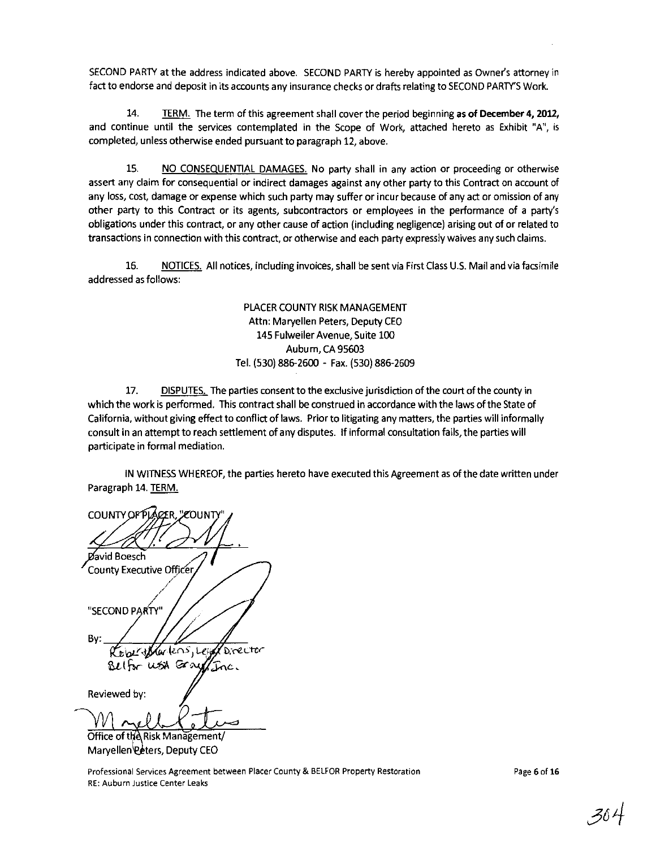SECOND PARTY at the address indicated above. SECOND PARTY is hereby appointed as Owner's attorney in fact to endorse and deposit in its accounts any insurance checks or drafts relating to SECOND PARTY'S Work.

14. TERM. The term of this agreement shall cover the period beginning as of December 4, 2012, and continue until the services contemplated in the Scope of Work, attached hereto as Exhibit "A", is completed, unless otherwise ended pursuant to paragraph 12, above.

15. NO CONSEQUENTIAL DAMAGES. No party shall in any action or proceeding or otherwise assert any claim for consequential or indirect damages against any other party to this Contract on account of any loss, cost, damage or expense which such party may suffer or incur because of any act or omission of any other party to this Contract or its agents, subcontractors or employees in the performance of a party's obligations under this contract, or any other cause of action (including negligence) arising out of or related to transactions in connection with this contract, or otherwise and each party expressly waives any such claims.

16. NOTICES. All notices, including invoices, shall be sent via First Class U.S. Mail and via facsimile addressed as follows:

> PLACER COUNTY RISK MANAGEMENT Attn: Maryellen Peters, Deputy CEO 145 Fulweiler Avenue, Suite 100 Aubum, CA 95603 Tel. (530) 886-2600 - Fax. (S30) 886-2609

17. DISPUTES. The parties consent to the exclusive jurisdiction of the court ofthe county in which the work is performed. This contract shall be construed in accordance with the laws of the State of California, without giving effect to conflict of laws. Prior to litigating any matters, the parties will informally consult in an attempt to reach settlement of any disputes. If informal consultation fails, the parties will participate in formal mediation.

IN WITNESS WHEREOF, the parties hereto have executed this Agreement as of the date written under Paragraph 14. TERM.

**COUNTY OF PLA** avid Boesch County Executive Officer "SECOND PARTY" By: **Director** Grikos, Lei **WSA** Gra Belfor Tac. Reviewed by:

Office of the Risk Management Maryellen Peters, Deputy CEO

**Professional Services Agreement between Placer County & BELFOR Property Restoration RE: Auburn Justice Center Leaks** 

Page 6 of 16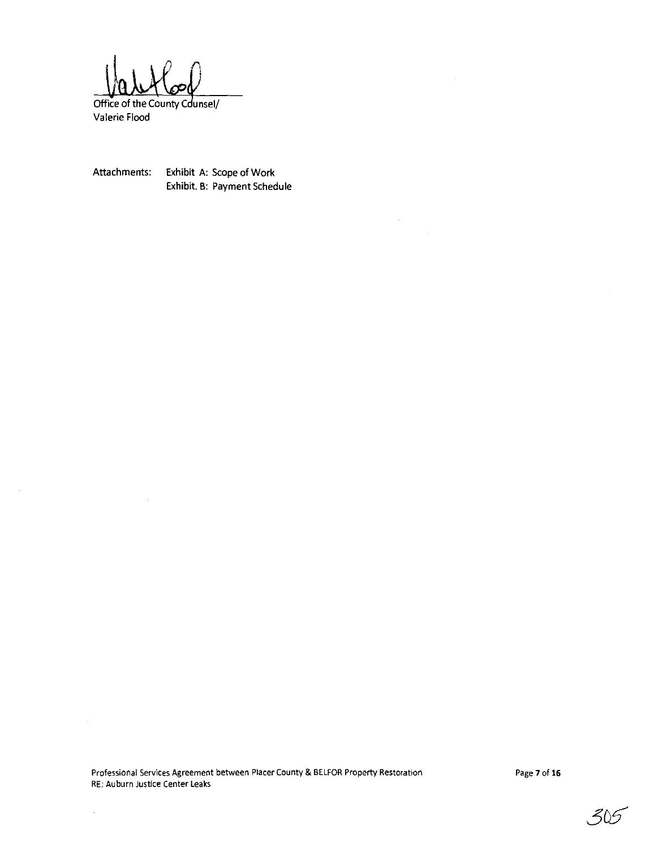Office of the County Counsel/

Valerie Flood

 $\sim 10^7$ 

 $\hat{\mathcal{A}}$ 

Attachments: Exhibit A: Scope of Work Exhibit. B: Payment Schedule

 $\sim 10^{-1}$ 

 $\hat{\mathcal{A}}$ 

**Professional Services Agreement between Placer County & BELFOR Property Restoration RE: Auburn Justice Center leaks**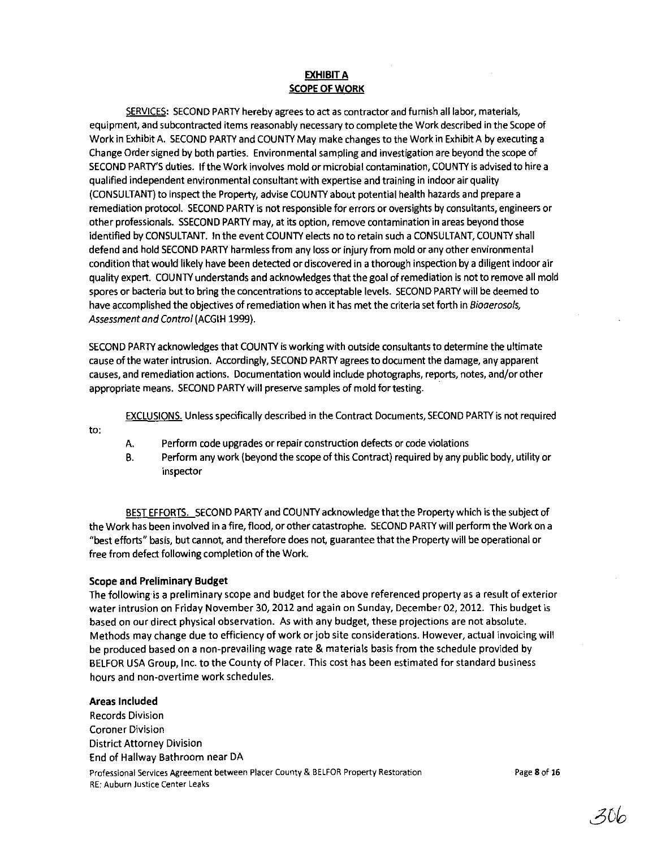#### EXHIBIT A **SCOPE OF WORK**

SERVICES: SECOND PARTY hereby agrees to act as contractor and furnish all labor, materials, equipment, and subcontracted items reasonably necessary to complete the Work described in the Scope of Work in Exhibit A. SECOND PARTY and COUNTY May make changes to the Work in Exhibit A by executing a Change Order signed by both parties. Environmental sampling and investigation are beyond the scope of SECOND PARTY'S duties. If the Work involves mold or microbial contamination, COUNTY is advised to hire a qualified independent environmental consultant with expertise and training in indoor air quality (CONSULTANT) to inspect the Property, advise COUNTY about potential health hazards and prepare a remediation protocol. SECOND PARTY is not responsible for errors or oversights by consultants, engineers or other professionals. SSECOND PARTY may, at its option, remove contamination in areas beyond those identified by CONSULTANT. In the event COUNTY elects no to retain such a CONSULTANT, COUNTY shall defend and hold SECOND PARTY harmless from any loss or injury from mold or any other environmental condition that would likely have been detected or discovered in a thorough inspection by a diligent indoor air quality expert. COUNTY understands and acknowledges that the goal of remediation is not to remove all mold spores or bacteria but to bring the concentrations to acceptable levels. SECOND PARTY will be deemed to have accomplished the objectives of remediation when it has met the criteria set forth in *Bioaerosols, Assessment and Control* (ACGIH 1999).

SECOND PARTY acknowledges that COUNTY is working with outside consukants to determine the ultimate cause of the water intrusion. Accordingly, SECOND PARTY agrees to document the damage, any apparent causes, and remediation actions. Documentation would include photographs, reports, notes, and/or other appropriate means. SECOND PARTY will preserve samples of mold for testing.

EXCLUSIONS. Unless specifically described in the Contract Documents, SECOND PARTY is not required

to:

- A. Perform code upgrades or repair construction defects or code violations
- B. Perform any work (beyond the scope of this Contract) required by any public body, utility or inspector

BEST EFFORTS. SECOND PARTY and COUNTY acknowledge that the Property which is the subject of the Work has been involved in a fire, flood, or other catastrophe. SECOND PARTY will perform the Work on a "best efforts" basis, but cannot, and therefore does not, guarantee that the Property will be operational or free from defect following completion of the Work.

#### Scope and Preliminary **Budget**

The following is a preliminary scope and budget for the above referenced property as a result of exterior water intrusion on Friday November 30, 2012 and again on Sunday, December 02,2012. This budget is based on our direct physical observation. As with any budget, these projections are not absolute. Methods may change due to efficiency of work or job site considerations. However, actual invoicing will be produced based on a non-prevailing wage rate & materials basis from the schedule provided by BELFOR USA Group, Inc. to the County of Placer. This cost has been estimated for standard business hours and non-overtime work schedules.

#### Areas **Included**

Records Division Coroner Division District Attorney Division End of Hallway Bathroom near DA **Professional Services Agreement between Placer County & BELFOR Property Restoration RE: Auburn Justice Center Leaks** 

Page 8 of 16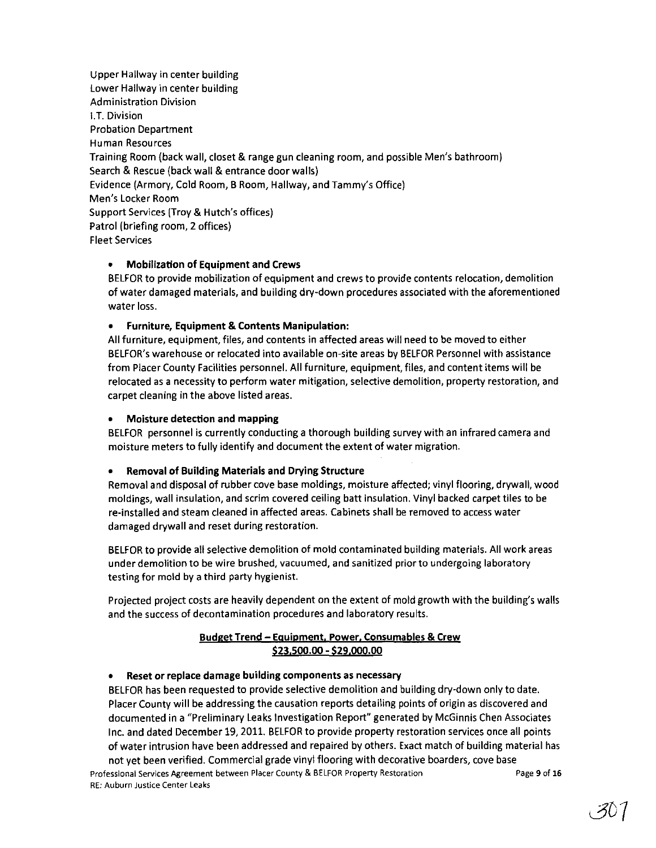Upper Hallway in center building Lower Hallway in center building Administration Division LT. Division Probation Department Human Resources Training Room (back wall, closet & range gun cleaning room, and possible Men's bathroom) Search & Rescue (back wall & entrance door walls) Evidence (Armory, Cold Room, B Room, Hallway, and Tammy's Office) Men's Locker Room Support Services (Troy & Hutch's offices) Patrol (briefing room, 2 offices) Fleet Services

### • Mobilization of Equipment and Crews

BELFOR to provide mobilization of equipment and crews to provide contents relocation, demolition of water damaged materials, and building dry-down procedures associated with the aforementioned water loss.

### • Furniture, Equipment & Contents Manipulation:

All furniture, equipment, files, and contents in affected areas will need to be moved to either BELFOR's warehouse or relocated into available on-site areas by BELFOR Personnel with assistance from Placer County Facilities personnel. All furniture, equipment, files, and content items will be relocated as a necessity to perform water mitigation, selective demolition, property restoration, and carpet cleaning in the above listed areas.

#### • Moisture detection and mapping

BELFOR personnel is currently conducting a thorough building survey with an infrared camera and moisture meters to fully identify and document the extent of water migration.

#### • Removal of Building Materials and Drying Structure

Removal and disposal of rubber cove base moldings, moisture affected; vinyl flooring, drywall, wood moldings, wall insulation, and scrim covered ceiling batt insulation. Vinyl backed carpet tiles to be re-installed and steam cleaned in affected areas. Cabinets shall be removed to access water damaged drywall and reset during restoration.

BELFOR to provide all selective demolition of mold contaminated building materials. All work areas under demolition to be wire brushed, vacuumed, and sanitized prior to undergoing laboratory testing for mold by a third party hygienist.

Projected project costs are heavily dependent on the extent of mold growth with the building's walls and the success of decontamination procedures and laboratory results.

### Budget Trend - Equipment. Power, Consumables & Crew \$23.500.00 - \$29.000.00

#### • Reset or replace damage building components as necessary

BELFOR has been requested to provide selective demolition and building dry-down only to date. Placer County will be addressing the causation reports detailing points of origin as discovered and documented in a "Preliminary Leaks Investigation Report" generated by McGinnis Chen Associates Inc. and dated December 19, 2011. BELFOR to provide property restoration services once all points of water intrusion have been addressed and repaired by others. Exact match of building material has

not yet been verified. Commercial grade vinyl flooring with decorative boarders, cove base Professional Services Agreement between Placer County & BELFOR Property Restoration RE: Auburn Justice Center Leaks Page 9 of **16**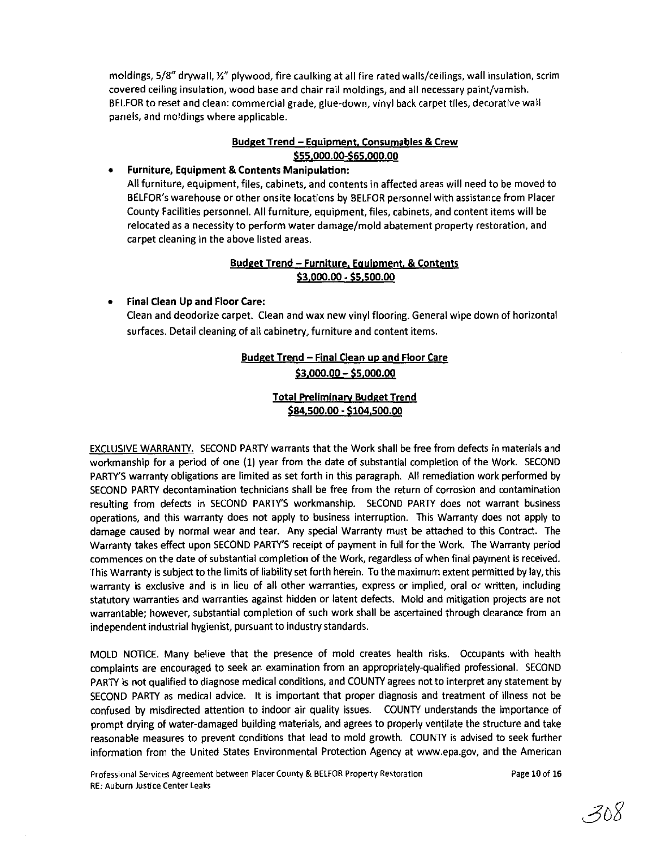moldings, 5/8" drywall, 12" plywood, fire caulking at all fire rated walls/ceilings, wall insulation, scrim covered ceiling insulation, wood base and chair rail moldings, and all necessary paint/varnish. BELFOR to reset and clean: commercial grade, glue-down, vinyl back carpet tiles, decorative wall panels, and moldings where applicable.

### Budget Trend - Equipment. Consumables & Crew \$55.000.00-\$65.000.00

#### • Furniture, Equipment & Contents Manipulation:

All furniture, equipment, files, cabinets, and contents in affected areas will need to be moved to BELFOR's warehouse or other onsite locations by BELFOR personnel with assistance from Placer County Facilities personnel. All furniture, equipment, files, cabinets, and content items will be relocated as a necessity to perform water damage/mold abatement property restoration, and carpet cleaning in the above listed areas.

### Budget Trend - Furniture. Equipment. & Contents \$3.000.00 - \$5.500.00

### • Final Clean Up and Floor Care:

Clean and deodorize carpet. Clean and wax new vinyl flooring. General wipe down of horizontal surfaces. Detail cleaning of all cabinetry, furniture and content items.

## Budget Trend - Final Clean up and Floor Care \$3,000,00 - \$5,000,00

### Total Preliminarv Budget Trend \$84,500,00 - \$104,500,00

EXCLUSIVE WARRANTY. SECOND PARTY warrants that the Work shall be free from defects in materials and workmanship for a period of one (1) year from the date of substantial completion of the Work. SECOND PARTY'S warranty obligations are limited as set forth in this paragraph. All remediation work performed by SECOND PARTY decontamination technicians shall be free from the return of corrosion and contamination resulting from defects in SECOND PARTY'S workmanship. SECOND PARTY does not warrant business operations, and this warranty does not apply to business interruption. This Warranty does not apply to damage caused by normal wear and tear. Any special Warranty must be attached to this Contract. The Warranty takes effect upon SECOND PARTY'S receipt of payment in full for the Work. The Warranty period commences on the date of substantial completion of the Work, regardless of when final payment is received. This Warranty is subject to the limits of liability set forth herein. To the maximum extent permitted by lay, this warranty is exclusive and is in lieu of all other warranties, express or implied, oral or written, including statutory warranties and warranties against hidden or latent defects. Mold and mitigation projects are not warrantable; however, substantial completion of such work shall be ascertained through clearance from an independent industrial hygienist, pursuant to industry standards.

MOLD NOTICE. Many believe that the presence of mold creates health risks. Occupants with health complaints are encouraged to seek an examination from an appropriately-qualified professional. SECOND PARTY is not qualified to diagnose medical conditions, and COUNTY agrees not to interpret any statement by SECOND PARTY as medical advice. It is important that proper diagnosis and treatment of illness not be confused by misdirected attention to indoor air quality issues. COUNTY understands the importance of prompt drying of water-damaged building materials, and agrees to properly ventilate the structure and take reasonable measures to prevent conditions that lead to mold growth. COUNTY is advised to seek further information from the United States Environmental Protection Agency at www.epa.gov, and the American

Page 10 of 16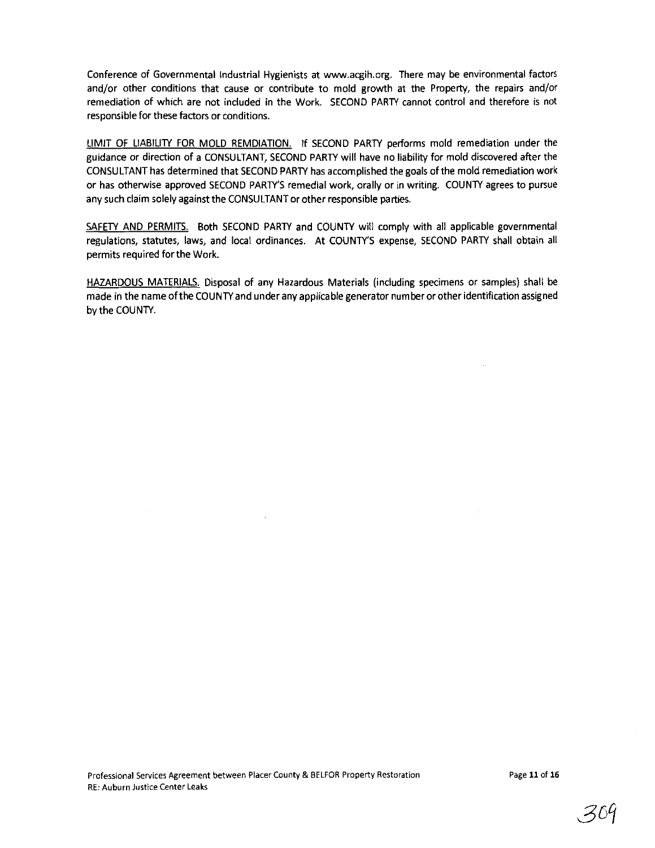Conference of Governmental Industrial Hygienists at www.acgih.org. There may be environmental factors and/or other conditions that cause or contribute to mold growth at the Property, the repairs and/or remediation of which are not included in the Work. SECOND PARTY cannot control and therefore is not responsible for these factors or conditions.

LIMIT OF LIABILITY FOR MOLD REMDIATION. If SECOND PARTY performs mold remediation under the guidance or direction of a CONSULTANT, SECOND PARTY will have no liability for mold discovered after the CONSULTANT has determined that SECOND PARTY has accomplished the goals ofthe mold remediation work or has otherwise approved SECOND PARTY'S remedial work, orally or in writing. COUNTY agrees to pursue any such claim solely against the CONSULTANT or other responsible parties.

SAFETY AND PERMITS. Both SECOND PARTY and COUNTY will comply with all applicable governmental regulations, statutes, laws, and local ordinances. At COUNTY'S expense, SECOND PARTY shall obtain all permits required for the Work.

HAZARDOUS MATERIALS. Disposal of any Hazardous Materials (including specimens or samples) shall be made in the name ofthe COUNTY and under any applicable generator number or other identification assigned by the COUNTY.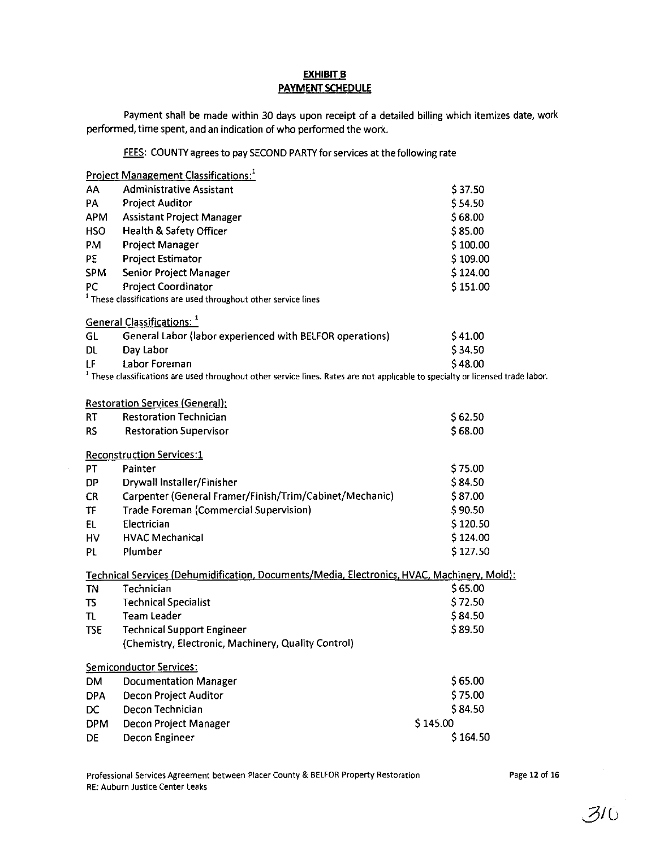### **EXHIBIT B** PAYMENT SCHEDULE

Payment shall be made within 30 days upon receipt of a detailed billing which itemizes date, work performed, time spent, and an indication of who performed the work.

FEES: COUNTY agrees to pay SECOND PARTY for services at the following rate

|             | <b>Project Management Classifications:</b>                                                                                                 |          |
|-------------|--------------------------------------------------------------------------------------------------------------------------------------------|----------|
| AA          | <b>Administrative Assistant</b>                                                                                                            | \$37.50  |
| PA          | <b>Project Auditor</b>                                                                                                                     | \$54.50  |
| <b>APM</b>  | <b>Assistant Project Manager</b>                                                                                                           | \$68.00  |
| <b>HSO</b>  | <b>Health &amp; Safety Officer</b>                                                                                                         | \$85.00  |
| PM          | <b>Project Manager</b>                                                                                                                     | \$100.00 |
| PE          | <b>Project Estimator</b>                                                                                                                   | \$109.00 |
| <b>SPM</b>  | Senior Project Manager                                                                                                                     | \$124.00 |
| PC.         | Project Coordinator                                                                                                                        | \$151.00 |
|             | <sup>1</sup> These classifications are used throughout other service lines                                                                 |          |
|             | General Classifications: 1                                                                                                                 |          |
| GL          | General Labor (labor experienced with BELFOR operations)                                                                                   | \$41.00  |
| DL.         | Day Labor                                                                                                                                  | \$34.50  |
| LF          | <b>Labor Foreman</b>                                                                                                                       | \$48.00  |
|             | <sup>1</sup> These classifications are used throughout other service lines. Rates are not applicable to specialty or licensed trade labor. |          |
|             | <b>Restoration Services (General):</b>                                                                                                     |          |
| RT          | <b>Restoration Technician</b>                                                                                                              | \$62.50  |
| <b>RS</b>   | <b>Restoration Supervisor</b>                                                                                                              | \$68.00  |
|             | <b>Reconstruction Services:1</b>                                                                                                           |          |
| PT          | Painter                                                                                                                                    | \$75.00  |
| <b>DP</b>   | Drywall Installer/Finisher                                                                                                                 | \$84.50  |
| <b>CR</b>   | Carpenter (General Framer/Finish/Trim/Cabinet/Mechanic)                                                                                    | \$87.00  |
| <b>TF</b>   | <b>Trade Foreman (Commercial Supervision)</b>                                                                                              | \$90.50  |
| EL.         | Electrician                                                                                                                                | \$120.50 |
| HV          | <b>HVAC Mechanical</b>                                                                                                                     | \$124.00 |
| PL.         | Plumber                                                                                                                                    | \$127.50 |
|             | Technical Services (Dehumidification, Documents/Media, Electronics, HVAC, Machinery, Mold):                                                |          |
| TN          | Technician                                                                                                                                 | \$65.00  |
| TS.         | <b>Technical Specialist</b>                                                                                                                | \$72.50  |
| $T_{\rm L}$ | <b>Team Leader</b>                                                                                                                         | \$84.50  |
| <b>TSE</b>  | <b>Technical Support Engineer</b>                                                                                                          | \$89.50  |
|             | (Chemistry, Electronic, Machinery, Quality Control)                                                                                        |          |
|             | Semiconductor Services:                                                                                                                    |          |
| <b>DM</b>   | <b>Documentation Manager</b>                                                                                                               | \$65.00  |
| <b>DPA</b>  | Decon Project Auditor                                                                                                                      | \$75.00  |
| DC          | Decon Technician                                                                                                                           | \$84.50  |
| <b>DPM</b>  | Decon Project Manager                                                                                                                      | \$145.00 |
| <b>DE</b>   | Decon Engineer                                                                                                                             | \$164.50 |

Page 12 of 16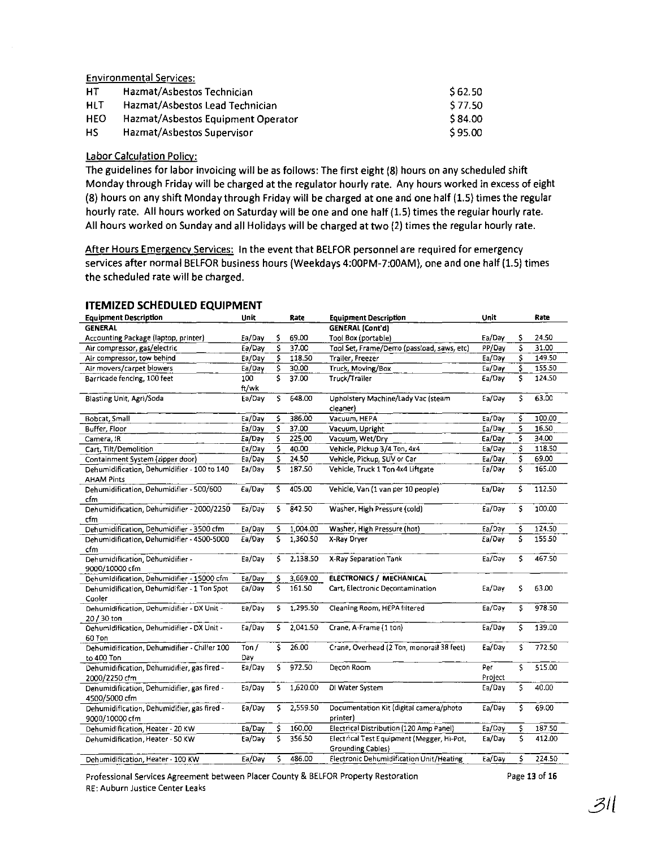Environmental Services:

| НT         | Hazmat/Asbestos Technician         | \$62.50 |
|------------|------------------------------------|---------|
| HLT        | Hazmat/Asbestos Lead Technician    | S 77.50 |
| <b>HEO</b> | Hazmat/Asbestos Equipment Operator | \$84.00 |
| HS.        | Hazmat/Asbestos Supervisor         | S 95.00 |

#### labor Calculation Policv:

The guidelines for labor invoicing will be as follows: The first eight (8) hours on any scheduled shift Monday through Friday will be charged at the regulator hourly rate. Any hours worked in excess of eight (8) hours on any shift Monday through Friday will be charged at one and one half (1.5) times the regular hourly rate. All hours worked on Saturday will be one and one half (1.5) times the regular hourly rate. All hours worked on Sunday and all Holidays will be charged at two (2) times the regular hourly rate.

After Hours Emergency Services: In the event that BELFOR personnel are required for emergency services after normal BElFOR business hours (Weekdays 4:00PM-7:00AM), one and one half (1.5) times the scheduled rate will be charged.

| <b>Equipment Description</b>                           | Unit     |    | Rate     | <b>Equipment Description</b>               | Unit    |     | Rate   |
|--------------------------------------------------------|----------|----|----------|--------------------------------------------|---------|-----|--------|
| <b>GENERAL</b>                                         |          |    |          | <b>GENERAL</b> (Cont'd)                    |         |     |        |
| Accounting Package (laptop, printer)                   | Ea/Day   | \$ | 69.00    | Tool Box (portable)                        | Ea/Day  | Ś   | 24.50  |
| Air compressor, gas/electric                           | Ea/Day   | Ś  | 37.00    | Tool Set, Frame/Demo (passioad, saws, etc) | PP/Day  | Ś   | 31.00  |
| Air compressor, tow behind                             | Ea/Day   | \$ | 118.50   | Trailer, Freezer                           | Ea/Day  | Ś   | 149.50 |
| Air movers/carpet blowers                              | Ea/Day   | \$ | 30.00    | Truck, Moving/Box                          | Ea/Day  | Ś   | 155.50 |
| Barricade fencing, 100 feet                            | 100      | Ŝ  | 37.00    | Truck/Trailer                              | Ea/Day  | \$  | 124.50 |
|                                                        | ft/wk    |    |          |                                            |         |     |        |
| Blasting Unit, Agri/Soda                               | Ea/Day   | \$ | 648.00   | Upholstery Machine/Lady Vac (steam         | Ea/Day  | Ŝ.  | 63.00  |
|                                                        |          |    |          | cleaner)                                   |         |     |        |
| Bobcat, Small                                          | Ea/Dav   | \$ | 386.00   | Vacuum, HEPA                               | Ea/Day  | Ś   | 100.00 |
| Buffer, Floor                                          | Ea/Day   | \$ | 37.00    | Vacuum, Upright                            | Ea/Day  | Ś   | 16.50  |
| Camera, IR                                             | Ea/Day   | \$ | 225.00   | Vacuum, Wet/Dry                            | Ea/Day  | \$  | 34.00  |
| Cart, Tilt/Demolition                                  | Ea/Day   | \$ | 40.00    | Vehicle, Pickup 3/4 Ton, 4x4               | Ea/Day  | \$  | 118.50 |
| Containment System (zipper door)                       | Ea/Day   | \$ | 24.50    | Vehicle, Pickup, SUV or Car                | Ea/Day  | \$  | 69.00  |
| Dehumidification, Dehumidifier - 100 to 140            | Ea/Day   | \$ | 187.50   | Vehicle, Truck 1 Ton 4x4 Liftgate          | Ea/Day  | \$  | 165.00 |
| <b>AHAM Pints</b>                                      |          |    |          |                                            |         |     |        |
| Dehumidification, Dehumidifier - 500/600               | Ea/Day   | \$ | 405.00   | Vehicle, Van (1 van per 10 people)         | Ea/Day  | Ś   | 112.50 |
| cfm                                                    |          |    |          |                                            |         |     |        |
| Dehumidification, Dehumidifier - 2000/2250             | Ea/Day   | \$ | 842 50   | Washer, High Pressure (cold)               | Ea/Day  | Ś   | 100.00 |
| cfm                                                    |          |    |          |                                            |         |     |        |
| Dehumidification, Dehumidifier - 3500 cfm              | Ea/Day   | \$ | 1,004.00 | Washer, High Pressure (hot)                | Ea/Day  | \$  | 124.50 |
| Dehumidification, Dehumidifier - 4500-5000             | Ea/Day   | \$ | 1,360.50 | X-Ray Dryer                                | Ea/Day  | \$  | 155.50 |
| cfm                                                    |          |    |          |                                            |         |     |        |
| Dehumidification, Dehumidifier -                       | Ea/Day   | \$ | 2,138.50 | X-Ray Separation Tank                      | Ea/Day  | Ś.  | 467.50 |
| 9000/10000 cfm                                         |          |    |          |                                            |         |     |        |
| Dehumidification, Dehumidifier - 15000 cfm             | Ea/Day   | \$ | 3,669.00 | ELECTRONICS / MECHANICAL                   |         |     |        |
| Dehumidification, Dehumidifier - 1 Ton Spot            | Ea/Day   | \$ | 161.50   | Cart, Electronic Decontamination           | Ea/Dav  | Ś   | 63.00  |
| Cooler                                                 |          |    |          |                                            |         |     |        |
| Dehumidification, Dehumidifier - DX Unit -             | Ea/Day   | \$ | 1,295.50 | Cleaning Room, HEPA filtered               | Ea/Day  | Ś   | 978.50 |
| 20 / 30 ton                                            | Ea/Day   | \$ | 2.041.50 | Crane, A-Frame (1 ton)                     | Ea/Day  | Ś   | 139.00 |
| Dehumidification, Dehumidifier - DX Unit -             |          |    |          |                                            |         |     |        |
| 60 Ton<br>Dehumidification, Dehumidifier - Chiller 100 | $T$ on / | Ŝ  | 26.00    | Crane, Overhead (2 Ton, monorail 38 feet)  | Ea/Day  | \$. | 772.50 |
| to 400 Ton                                             | Day      |    |          |                                            |         |     |        |
| Dehumidification, Dehumidifier, gas fired -            | Ea/Day   | \$ | 972.50   | Decon Room                                 | Per     | Ś   | 515.00 |
| 2000/2250 cfm                                          |          |    |          |                                            | Project |     |        |
| Dehumidification, Dehumidifier, gas fired -            | Ea/Day   | s. | 1,620.00 | DI Water System                            | Ea/Day  | \$  | 40.00  |
| 4500/5000 cfm                                          |          |    |          |                                            |         |     |        |
| Dehumidification, Dehumidifier, gas fired -            | Ea/Day   | \$ | 2,559.50 | Documentation Kit (digital camera/photo    | Ea/Day  | Ś   | 69.00  |
| 9000/10000 cfm                                         |          |    |          | printer)                                   |         |     |        |
| Dehumidification, Heater - 20 KW                       | Ea/Day   | \$ | 160.00   | Electrical Distribution (120 Amp Panel)    | Ea/Day  | \$  | 187.50 |
| Dehumidification, Heater - 50 KW                       | Ea/Day   | \$ | 356 50   | Electrical Test Equipment (Megger, Hi-Pot, | Ea/Day  | Ś   | 412.00 |
|                                                        |          |    |          | <b>Grounding Cables</b> }                  |         |     |        |
| Dehumidification, Heater - 100 KW                      | Ea/Day   | \$ | 486.00   | Electronic Dehumidification Unit/Heating   | Ea/Day  | \$  | 224.50 |
|                                                        |          |    |          |                                            |         |     |        |

#### ITEMIZED SCHEDULED EQUIPMENT

Professional Services Agreement between Placer County & BELFOR Property Restoration Page 13 of 16 RE: Auburn Justice Center Leaks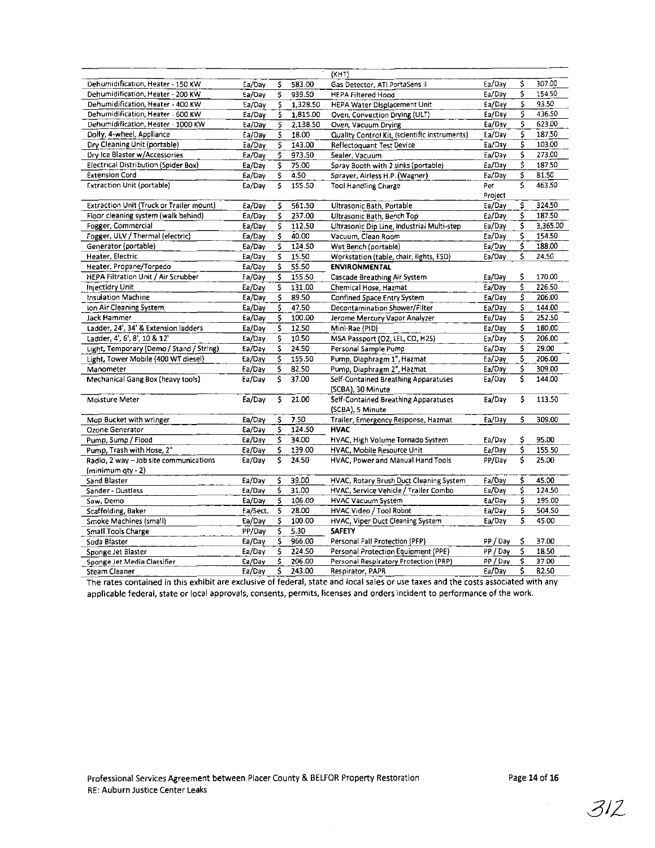|                                             |          |    |          | (KHT)                                         |          |    |          |
|---------------------------------------------|----------|----|----------|-----------------------------------------------|----------|----|----------|
| Dehumidification, Heater - 150 KW           | Ea/Dav   | \$ | 583.00   | Gas Detector, ATI PortaSens II                | Ea/Day   | \$ | 30700    |
| Dehumidification, Heater - 200 KW           | Ea/Dav   | \$ | 939.50   | <b>HEPA Filtered Hood</b>                     | Ea/Day   | \$ | 154.50   |
| Dehumidification, Heater - 400 KW           | Ea/Day   | Ś. | 1,328.50 | HEPA Water Displacement Unit                  | Ea/Day   | \$ | 93.50    |
| Dehumidification, Heater - 600 KW           | Ea/Day   | \$ | 1,815.00 | Oven, Convection Drying (ULT)                 | Ea/Day   | \$ | 436.50   |
| Dehumidification, Heater - 1000 KW          | Ea/Day   | \$ | 2,138.50 | Oven, Vacuum Drying                           | Ea/Day   | \$ | 623.00   |
| Dolly, 4-wheel, Appliance                   | Ea/Dav   | \$ | 18.00    | Quality Control Kit, (scientific instruments) | Ea/Day   | \$ | 187.50   |
| Dry Cleaning Unit (portable)                | Ea/Dav   | \$ | 143.00   | Reflectoquant Test Device                     | Ea/Day   | \$ | 103.00   |
| Dry Ice Blaster w/Accessories               | Ea/Dav   | \$ | 973.50   | Sealer, Vacuum                                | Ea/Day   | \$ | 273.00   |
| <b>Electrical Distribution (Spider Box)</b> | Ea/Day   | \$ | 75.00    | Spray Booth with 2 sinks (portable)           | Ea/Day   | \$ | 187.50   |
| <b>Extension Cord</b>                       | Ea/Day   | \$ | 4.50     | Sprayer, Airless H.P. (Wagner)                | Ea/Day   | \$ | 81.50    |
| <b>Extraction Unit (portable)</b>           | Ea/Dav   | \$ | 155.50   | <b>Tool Handling Charge</b>                   | Per      | Ś  | 463.50   |
|                                             |          |    |          |                                               | Project  |    |          |
| Extraction Unit (Truck or Trailer mount)    | Ea/Dav   | \$ | 561.50   | Ultrasonic Bath, Portable                     | Ea/Day   | \$ | 324.50   |
| Floor cleaning system (walk behind)         | Ea/Dav   | \$ | 237.00   | Ultrasonic Bath, Bench Top                    | Ea/Day   | \$ | 187.50   |
| Fogger, Commercial                          | Ea/Dav   | \$ | 112.50   | Ultrasonic Dip Line, Industrial Multi-step    | Ea/Day   | \$ | 3,365.00 |
| Fogger, ULV / Thermal (electric)            | Ea/Day   | \$ | 40.00    | Vacuum, Clean Room                            | Ea/Day   | \$ | 154.50   |
| Generator (portable)                        | Ea/Dav   | \$ | 124.50   | Wet Bench (portable)                          | Ea/Day   | \$ | 188.00   |
| Heater, Electric                            | Ea/Day   | \$ | 15.50    | Workstation (table, chair, lights, ESD)       | Ea/Day   | \$ | 24.50    |
| Heater, Propane/Torpedo                     | Ea/Dav   | \$ | 55.50    | <b>ENVIRONMENTAL</b>                          |          |    |          |
| <b>HEPA Filtration Unit / Air Scrubber</b>  | Ea/Dav   | \$ | 155.50   | Cascade Breathing Air System                  | Ea/Day   | \$ | 170.00   |
| <b>Injectidry Unit</b>                      | Ea/Dav   | \$ | 131.00   | Chemical Hose, Hazmat                         | Ea/Day   | \$ | 226.50   |
| Insulation Machine                          | Ea/Day   | \$ | 89.50    | Confined Space Entry System                   | Ea/Day   | \$ | 206.00   |
| Ion Air Cleaning System                     | Ea/Day   | \$ | 47.50    | Decontamination Shower/Filter                 | Ea/Day   | \$ | 144.00   |
| Jack Hammer                                 | Ea/Dav   | \$ | 100.00   | Jerome Mercury Vapor Analyzer                 | Ea/Day   | \$ | 252.50   |
| Ladder, 24', 34' & Extension ladders        | Ea/Day   | \$ | 12.50    | Mini-Rae (PID)                                | Ea/Day   | \$ | 180.00   |
| Ladder, 4', 6', 8', 10 & 12'                | Ea/Dav   | \$ | 10.50    | MSA Passport (O2, LEL, CO, H2S)               | Ea/Day   | \$ | 206.00   |
| Light, Temporary (Demo / Stand / String)    | Ea/Dav   | Ś  | 24.50    | Personal Sample Pump                          | Ea/Day   | Ŝ  | 29.00    |
| Light, Tower Mobile (400 WT diesel)         | Ea/Day   | \$ | 155.50   | Pump, Diaphragm 1", Hazmat                    | Ea/Day   | \$ | 206.00   |
| Manometer                                   | Ea/Day   | \$ | 82.50    | Pump, Diaphragm 2", Hazmat                    | Ea/Day   | \$ | 309.00   |
| Mechanical Gang Box (heavy tools)           | Ea/Day   | \$ | 37.00    | Self-Contained Breathing Apparatuses          | Ea/Day   | \$ | 144.00   |
|                                             |          |    |          | (SCBA), 30 Minute                             |          |    |          |
| Moisture Meter                              | Ea/Dav   | \$ | 21.00    | Seif-Contained Breathing Apparatuses          | Ea/Day   | \$ | 113.50   |
|                                             |          |    |          | (SCBA), 5 Minute                              |          |    |          |
| Mop Bucket with wringer                     | Ea/Dav   | \$ | 7.50     | Trailer, Emergency Response, Hazmat           | Ea/Day   | Ś  | 309.00   |
| Ozone Generator                             | Ea/Dav   | \$ | 124.50   | <b>HVAC</b>                                   |          |    |          |
| Pump, Sump / Flood                          | Ea/Dav   | \$ | 34.00    | HVAC, High Volume Tornado System              | Ea/Day   | Ś  | 95.00    |
| Pump, Trash with Hose, 2"                   | Ea/Day   | \$ | 139.00   | HVAC, Mobile Resource Unit                    | Ea/Day   | \$ | 155.50   |
| Radio, 2 way - Job site communications      | Ea/Dav   | \$ | 24.50    | HVAC, Power and Manual Hand Tools             | PP/Day   | Ś  | 25.00    |
| $(minimum$ qty $-2)$                        |          |    |          |                                               |          |    |          |
| Sand Blaster                                | Ea/Day   | \$ | 39.00    | HVAC, Rotary Brush Duct Cleaning System       | Ea/Day   | \$ | 45.00    |
| Sander - Dustless                           | Ea/Day   | \$ | 31.00    | HVAC, Service Vehicle / Trailer Combo         | Ea/Day   | \$ | 124.50   |
| Saw, Demo                                   | Ea/Day   | \$ | 106.00   | <b>HVAC Vacuum System</b>                     | Ea/Day   | Ś  | 195.00   |
| Scaffolding, Baker                          | Ea/Sect. | \$ | 28.00    | HVAC Video / Tool Robot                       | Ea/Day   | \$ | 504.50   |
| Smoke Machines (small)                      | Ea/Dav   | \$ | 100.00   | HVAC, Viper Duct Cleaning System              | Ea/Dav   | Ś  | 45.00    |
| Small Tools Charge                          | PP/Dav   | \$ | 5.30     | <b>SAFETY</b>                                 |          |    |          |
| Soda Blaster                                | Ea/Dav   | Ś. | 966.00   | Personal Fall Protection (PFP)                | PP/Dav   | \$ | 37.00    |
| Sponge Jet Blaster                          | Ea/Day   | \$ | 224.50   | Personal Protection Equipment (PPE)           | PP / Dav | \$ | 18.50    |
| Sponge Jet Media Classifier                 | Ea/Day   | \$ | 206.00   | Personal Respiratory Protection (PRP)         | PP / Dav | Ś. | 37.00    |
| Steam Cleaner                               | Ea/Day   | \$ | 243.00   | Respirator, PAPR                              | Ea/Day   | \$ | 82.50    |
|                                             |          |    |          |                                               |          |    |          |

The rates contained in this exhibit are exclusive of federal, state and local sales or use taxes and the costs associated with any applicable federal, state or local approvals, consents, permits, licenses and orders 'incident to performance of the work.

 $\langle \hat{u}_\mathrm{eff} \rangle$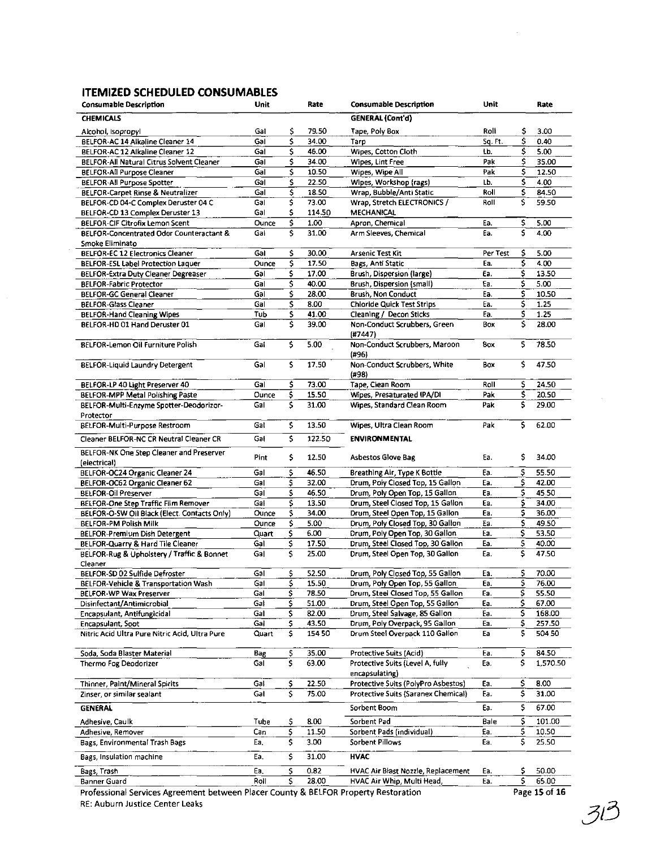# ITEMIZED SCHEDULED CONSUMABLES

| <b>Consumable Description</b>                  | Unit       |     | Rate   | <b>Consumable Description</b>                                    | <b>Unit</b> |    | Rate             |
|------------------------------------------------|------------|-----|--------|------------------------------------------------------------------|-------------|----|------------------|
| <b>CHEMICALS</b>                               |            |     |        | <b>GENERAL (Cont'd)</b>                                          |             |    |                  |
| Alcohol, Isopropyl                             | Gal        | \$  | 79.50  | Tape, Poly Box                                                   | Roll        | \$ | 3.00             |
| BELFOR-AC 14 Alkaline Cleaner 14               | Gai        | \$  | 34.00  | Tarp                                                             | Sq. Ft.     | \$ | 0.40             |
| BELFOR-AC 12 Alkaline Cleaner 12               | Gai        | \$  | 46.00  | Wipes, Cotton Cloth                                              | Lb.         | \$ | 5.00             |
| BELFOR-All Natural Citrus Solvent Cleaner      | Gal        | \$  | 34.00  | Wipes, Lint Free                                                 | Pak         | \$ | 35.00            |
| <b>BELFOR-All Purpose Cleaner</b>              | Gal        | \$  | 10.50  | Wipes, Wipe All                                                  | Pak         | \$ | 12.50            |
| <b>BELFOR-All Purpose Spotter</b>              | Ga         | \$  | 22.50  | Wipes, Workshop (rags)                                           | Lb.         | \$ | 4.00             |
| <b>BELFOR-Carpet Rinse &amp; Neutralizer</b>   | Gal        | \$  | 18.50  | Wrap, Bubble/Anti Static                                         | Roll        | \$ | 84.50            |
| BELFOR-CD 04-C Complex Deruster 04 C           | Gal        | \$  | 73.00  | Wrap, Stretch ELECTRONICS /                                      | Roll        | \$ | 59.50            |
| BELFOR-CD 13 Complex Deruster 13               | Gal        | \$  | 114.50 | <b>MECHANICAL</b>                                                |             |    |                  |
| <b>BELFOR-CIF Citrofix Lemon Scent</b>         | Ounce      | \$  | 1.00   | Apron, Chemical                                                  | Ea.         | \$ | 5.00             |
| BELFOR-Concentrated Odor Counteractant &       | Gal        | \$  | 31.00  | Arm Sleeves, Chemical                                            | Ea.         | Ś  | 4.00             |
| Smoke Eliminato                                |            |     |        |                                                                  |             |    |                  |
| BELFOR-EC 12 Electronics Cleaner               | Gal        | \$  | 30.00  | <b>Arsenic Test Kit</b>                                          | Per Test    | \$ | 5.00             |
| BELFOR-ESL Label Protection Laquer             | Ounce      | \$  | 17.50  | Bags, Anti Static                                                | Ea.         | \$ | 4.00             |
| BELFOR-Extra Duty Cleaner Degreaser            | Gal        | \$  | 17.00  | Brush, Dispersion (large)                                        | Ea.         | \$ | 13.50            |
| <b>BELFOR-Fabric Protector</b>                 | Gal        | \$  | 40.00  | Brush, Dispersion (small)                                        | Ea.         | \$ | 5.00             |
| <b>BELFOR-GC General Cleaner</b>               | Gal        | \$  | 28.00  | Brush, Non Conduct                                               | Ea.         | \$ | 10.50            |
| <b>BELFOR-Glass Cleaner</b>                    | Gal        | \$  | 8.00   | <b>Chloride Quick Test Strips</b>                                | Ea.         | \$ | 1.25             |
| <b>BELFOR-Hand Cleaning Wipes</b>              | Tub        | \$  | 41.00  | Cleaning / Decon Sticks                                          | Ea.         | \$ | 1.25             |
| BELFOR-HD 01 Hand Deruster 01                  | Gal        | \$  | 39.00  | Non-Conduct Scrubbers, Green                                     | Box         | \$ | 28.00            |
|                                                |            |     |        | (#7447)                                                          |             |    |                  |
| BELFOR-Lemon Oil Furniture Polish              | Gal        | \$  | 5.00   | Non-Conduct Scrubbers, Maroon                                    | Box         | \$ | 78.50            |
|                                                |            |     |        | (#96)                                                            |             |    |                  |
| <b>BELFOR-Liquid Laundry Detergent</b>         | Gal        | \$  | 17.50  | Non-Conduct Scrubbers, White                                     | Box         | \$ | 47.50            |
|                                                |            |     |        | (#98)                                                            |             |    |                  |
| BELFOR-LP 40 Light Preserver 40                | Gal        | \$  | 73.00  | Tape, Clean Room                                                 | Roll        | \$ | 24.50            |
| <b>BELFOR-MPP Metal Polishing Paste</b>        | Ounce      | \$. | 15.50  | Wipes, Presaturated IPA/DI                                       | Pak         | \$ | 20.50            |
| BELFOR-Multi-Enzyme Spotter-Deodorizor-        | Gal        | \$  | 31.00  | Wipes. Standard Clean Room                                       | Pak         | \$ | 29.00            |
| Protector                                      |            |     |        |                                                                  |             |    |                  |
| BELFOR-Multi-Purpose Restroom                  | Gal        | \$  | 13.50  | Wipes, Ultra Clean Room                                          | Pak         | \$ | 62.00            |
| Cleaner BELFOR-NC CR Neutral Cleaner CR        | Gal        | \$  | 122.50 | <b>ENVIRONMENTAL</b>                                             |             |    |                  |
|                                                |            |     |        |                                                                  |             |    |                  |
| BELFOR-NK One Step Cleaner and Preserver       | Pint       | \$  | 12.50  | <b>Asbestos Glove Bag</b>                                        | Ea.         | \$ | 34.00            |
| (electrical)                                   |            |     |        |                                                                  |             |    |                  |
| BELFOR-OC24 Organic Cleaner 24                 | Gal        | \$  | 46.50  | Breathing Air, Type K Bottle                                     | Ea.         | \$ | 55.50            |
| BELFOR-OC62 Organic Cleaner 62                 | Gal        | \$  | 32.00  | Drum, Poly Closed Top, 15 Gallon                                 | Ea.         | \$ | 42.00            |
| <b>BELFOR-Oil Preserver</b>                    | Gal        | \$  | 46.50  | Drum, Poly Open Top, 15 Gallon                                   | Ea.         | \$ | 45.50            |
| BELFOR-One Step Traffic Film Remover           | Gal        | \$  | 13.50  | Drum, Steel Closed Top, 15 Gallon                                | Ea.         | \$ | 34.00            |
| BELFOR-O-SW Oil Black (Elect. Contacts Only)   | Ounce      | \$  | 34.00  | Drum, Steel Open Top, 15 Gallon                                  | Ea.         | \$ | 36.00            |
| <b>BELFOR-PM Polish Milk</b>                   | Ounce      | \$  | 5.00   | Drum, Poly Closed Top, 30 Gallon                                 | Ea.         | \$ | 49.50            |
| <b>BELFOR-Premium Dish Detergent</b>           | Quart      | \$  | 6.00   | Drum, Poly Open Top, 30 Gallon                                   | Ea.         | \$ | 53.50            |
| BELFOR-Quarry & Hard Tile Cleaner              | Gai        | \$  | 17.50  | Drum, Steel Closed Top, 30 Gallon                                | Ea.         | \$ | 40.00            |
| BELFOR-Rug & Upholstery / Traffic & Bonnet     | Gal        | \$  | 25.00  | Drum, Steel Open Top, 30 Gallon                                  | Ea.         | \$ | 47.50            |
| Cleaner                                        |            |     |        |                                                                  |             |    |                  |
| BELFOR-SD 02 Sulfide Defroster                 | Gal        | \$  | 52.50  | Drum, Poly Closed Top, 55 Gallon                                 | Ea.         | \$ | 70.00            |
| BELFOR-Vehicle & Transportation Wash           | Gal        | \$  | 15.50  | Drum, Poly Open Top, 55 Gallon                                   | Ea.         | \$ | 76.00            |
| <b>BELFOR-WP Wax Preserver</b>                 | Gal        | \$  | 78.50  | Drum, Steel Closed Top, 55 Gallon                                | Ea.         | \$ | 55.50            |
| Disinfectant/Antimicrobial                     | Gal        | \$  | 51.00  | Drum, Steel Open Top, 55 Gallon                                  | Ea.         | \$ | 67.00            |
| Encapsulant, Antifungicidal                    | Gal        | \$  | 82.00  | Drum, Steel Salvage, 85 Gallon                                   | Ea.         | \$ | 168.00           |
| Encapsulant, Soot                              | Gal        | \$  | 43.50  | Drum, Poly Overpack, 95 Gallon<br>Drum Steel Overpack 110 Gallon | Ea.         | \$ | 257.50<br>504 50 |
| Nitric Acid Ultra Pure Nitric Acid, Ultra Pure | Quart      | \$  | 154 50 |                                                                  | Ea          | \$ |                  |
| Soda, Soda Blaster Material                    | Bag        | \$  | 35.00  | Protective Suits (Acid)                                          | Ea.         | \$ | 84.50            |
| Thermo Fog Deodorizer                          | Gal        | \$  | 63.00  | Protective Suits (Level A, fully                                 | Eа.         | \$ | 1,570.50         |
|                                                |            |     |        | encapsulating)                                                   |             |    |                  |
| Thinner, Paint/Mineral Spirits                 |            | \$  | 22.50  | Protective Suits (PolyPro Asbestos)                              | Ea.         | \$ | 8.00             |
|                                                | Gal<br>Gal | \$  | 75.00  | Protective Suits (Saranex Chemical)                              | Ea.         | \$ | 31.00            |
| Zinser, or similar sealant                     |            |     |        |                                                                  |             |    |                  |
| GENERAL                                        |            |     |        | Sorbent Boom                                                     | Ea.         | \$ | 67.00            |
| Adhesive, Caulk                                | Tube       | Ş   | 8.00   | Sorbent Pad                                                      | Bale        | \$ | 101.00           |
| Adhesive, Remover                              | Can        | \$  | 11.50  | Sorbent Pads (individual)                                        | Ea.         | \$ | 10.50            |
| Bags, Environmental Trash Bags                 | Ea,        | \$  | 3.00   | Sorbent Pillows                                                  | Ea.         | \$ | 25.50            |
|                                                |            |     |        |                                                                  |             |    |                  |
| Bags, Insulation machine                       | Ea.        | \$  | 31.00  | <b>HVAC</b>                                                      |             |    |                  |
| Bags, Trash                                    | Ea,        | \$  | 0.82   | HVAC Air Blast Nozzle, Replacement                               | Ea.         | \$ | 50.00            |
| Banner Guard                                   | Roll       | \$  | 28.00  | HVAC Air Whip, Multi Head,                                       | Ea.         | \$ | 65.00            |
|                                                |            |     |        |                                                                  |             |    |                  |

Professional Services Agreement between Placer County & BElFOR Property Restoration RE: Auburn Justice Center Leaks

 $313$ 

 $\sim$